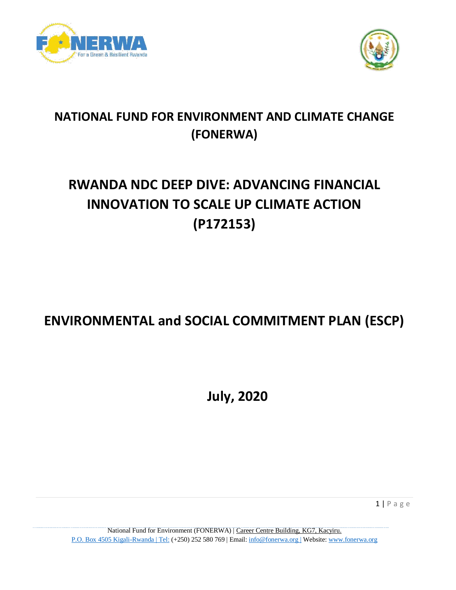



### **NATIONAL FUND FOR ENVIRONMENT AND CLIMATE CHANGE (FONERWA)**

# **RWANDA NDC DEEP DIVE: ADVANCING FINANCIAL INNOVATION TO SCALE UP CLIMATE ACTION (P172153)**

## **ENVIRONMENTAL and SOCIAL COMMITMENT PLAN (ESCP)**

**July, 2020**

1 | P a g e

National Fund for Environment (FONERWA) | Career Centre Building, KG7, Kacyiru. P.O. Box 4505 Kigali-Rwanda | Tel: (+250) 252 580 769 | Email: info@fonerwa.org | Website: www.fonerwa.org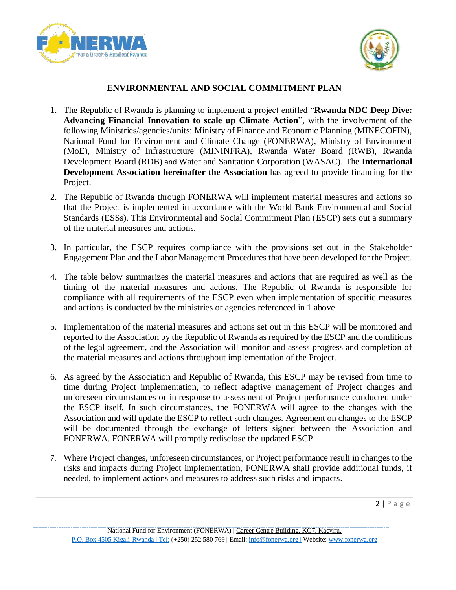



### **ENVIRONMENTAL AND SOCIAL COMMITMENT PLAN**

- 1. The Republic of Rwanda is planning to implement a project entitled "**Rwanda NDC Deep Dive: Advancing Financial Innovation to scale up Climate Action**", with the involvement of the following Ministries/agencies/units: Ministry of Finance and Economic Planning (MINECOFIN), National Fund for Environment and Climate Change (FONERWA), Ministry of Environment (MoE), Ministry of Infrastructure (MININFRA), Rwanda Water Board (RWB), Rwanda Development Board (RDB) and Water and Sanitation Corporation (WASAC). The **International Development Association hereinafter the Association** has agreed to provide financing for the Project.
- 2. The Republic of Rwanda through FONERWA will implement material measures and actions so that the Project is implemented in accordance with the World Bank Environmental and Social Standards (ESSs). This Environmental and Social Commitment Plan (ESCP) sets out a summary of the material measures and actions.
- 3. In particular, the ESCP requires compliance with the provisions set out in the Stakeholder Engagement Plan and the Labor Management Procedures that have been developed for the Project.
- 4. The table below summarizes the material measures and actions that are required as well as the timing of the material measures and actions. The Republic of Rwanda is responsible for compliance with all requirements of the ESCP even when implementation of specific measures and actions is conducted by the ministries or agencies referenced in 1 above.
- 5. Implementation of the material measures and actions set out in this ESCP will be monitored and reported to the Association by the Republic of Rwanda as required by the ESCP and the conditions of the legal agreement, and the Association will monitor and assess progress and completion of the material measures and actions throughout implementation of the Project.
- 6. As agreed by the Association and Republic of Rwanda, this ESCP may be revised from time to time during Project implementation, to reflect adaptive management of Project changes and unforeseen circumstances or in response to assessment of Project performance conducted under the ESCP itself. In such circumstances, the FONERWA will agree to the changes with the Association and will update the ESCP to reflect such changes. Agreement on changes to the ESCP will be documented through the exchange of letters signed between the Association and FONERWA. FONERWA will promptly redisclose the updated ESCP.
- 7. Where Project changes, unforeseen circumstances, or Project performance result in changes to the risks and impacts during Project implementation, FONERWA shall provide additional funds, if needed, to implement actions and measures to address such risks and impacts.

 $2 | P \text{ a g e}$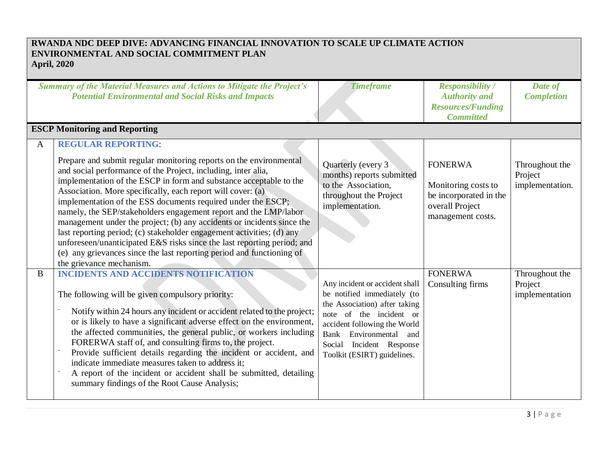### **RWANDA NDC DEEP DIVE: ADVANCING FINANCIAL INNOVATION TO SCALE UP CLIMATE ACTION ENVIRONMENTAL AND SOCIAL COMMITMENT PLAN April, 2020**

| <b>Summary of the Material Measures and Actions to Mitigate the Project's</b><br><b>Potential Environmental and Social Risks and Impacts</b> |                                                                                                                                                                                                                                                                                                                                                                                                                                                                                                                                                                                                                                                                                                                                                                              | <b>Timeframe</b>                                                                                                                                                                                                                                  | <b>Responsibility</b> /<br><b>Authority</b> and<br><b>Resources/Funding</b><br><b>Committed</b>         | Date of<br><b>Completion</b>                 |
|----------------------------------------------------------------------------------------------------------------------------------------------|------------------------------------------------------------------------------------------------------------------------------------------------------------------------------------------------------------------------------------------------------------------------------------------------------------------------------------------------------------------------------------------------------------------------------------------------------------------------------------------------------------------------------------------------------------------------------------------------------------------------------------------------------------------------------------------------------------------------------------------------------------------------------|---------------------------------------------------------------------------------------------------------------------------------------------------------------------------------------------------------------------------------------------------|---------------------------------------------------------------------------------------------------------|----------------------------------------------|
|                                                                                                                                              | <b>ESCP Monitoring and Reporting</b>                                                                                                                                                                                                                                                                                                                                                                                                                                                                                                                                                                                                                                                                                                                                         |                                                                                                                                                                                                                                                   |                                                                                                         |                                              |
| A                                                                                                                                            | <b>REGULAR REPORTING:</b><br>Prepare and submit regular monitoring reports on the environmental<br>and social performance of the Project, including, inter alia,<br>implementation of the ESCP in form and substance acceptable to the<br>Association. More specifically, each report will cover: (a)<br>implementation of the ESS documents required under the ESCP;<br>namely, the SEP/stakeholders engagement report and the LMP/labor<br>management under the project; (b) any accidents or incidents since the<br>last reporting period; (c) stakeholder engagement activities; (d) any<br>unforeseen/unanticipated E&S risks since the last reporting period; and<br>(e) any grievances since the last reporting period and functioning of<br>the grievance mechanism. | Quarterly (every 3)<br>months) reports submitted<br>to the Association,<br>throughout the Project<br>implementation.                                                                                                                              | <b>FONERWA</b><br>Monitoring costs to<br>be incorporated in the<br>overall Project<br>management costs. | Throughout the<br>Project<br>implementation. |
| B                                                                                                                                            | <b>INCIDENTS AND ACCIDENTS NOTIFICATION</b><br>The following will be given compulsory priority:<br>Notify within 24 hours any incident or accident related to the project;<br>or is likely to have a significant adverse effect on the environment,<br>the affected communities, the general public, or workers including<br>FORERWA staff of, and consulting firms to, the project.<br>Provide sufficient details regarding the incident or accident, and<br>indicate immediate measures taken to address it;<br>A report of the incident or accident shall be submitted, detailing<br>summary findings of the Root Cause Analysis;                                                                                                                                         | Any incident or accident shall<br>be notified immediately (to<br>the Association) after taking<br>note of the incident or<br>accident following the World<br>Environmental and<br>Bank<br>Social Incident Response<br>Toolkit (ESIRT) guidelines. | <b>FONERWA</b><br>Consulting firms                                                                      | Throughout the<br>Project<br>implementation  |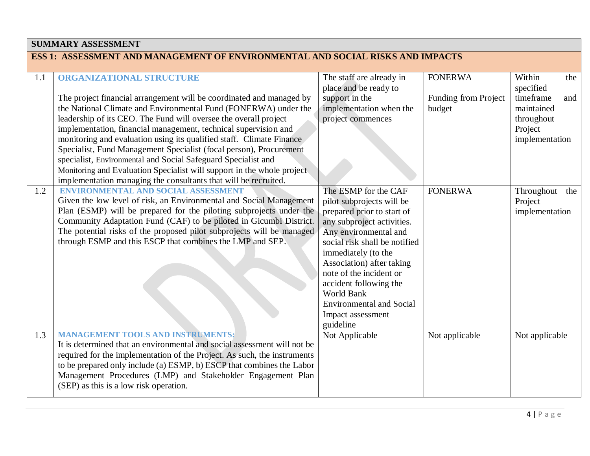| <b>SUMMARY ASSESSMENT</b>                                                      |                                                                                                                                                                                                                                                                                                                                                                                                                                                                                                                                                                                                                                                                               |                                                                                                                                                                                                                                                                                                                                                                            |                                                  |                                                                                                         |
|--------------------------------------------------------------------------------|-------------------------------------------------------------------------------------------------------------------------------------------------------------------------------------------------------------------------------------------------------------------------------------------------------------------------------------------------------------------------------------------------------------------------------------------------------------------------------------------------------------------------------------------------------------------------------------------------------------------------------------------------------------------------------|----------------------------------------------------------------------------------------------------------------------------------------------------------------------------------------------------------------------------------------------------------------------------------------------------------------------------------------------------------------------------|--------------------------------------------------|---------------------------------------------------------------------------------------------------------|
| ESS 1: ASSESSMENT AND MANAGEMENT OF ENVIRONMENTAL AND SOCIAL RISKS AND IMPACTS |                                                                                                                                                                                                                                                                                                                                                                                                                                                                                                                                                                                                                                                                               |                                                                                                                                                                                                                                                                                                                                                                            |                                                  |                                                                                                         |
| 1.1                                                                            | <b>ORGANIZATIONAL STRUCTURE</b><br>The project financial arrangement will be coordinated and managed by<br>the National Climate and Environmental Fund (FONERWA) under the<br>leadership of its CEO. The Fund will oversee the overall project<br>implementation, financial management, technical supervision and<br>monitoring and evaluation using its qualified staff. Climate Finance<br>Specialist, Fund Management Specialist (focal person), Procurement<br>specialist, Environmental and Social Safeguard Specialist and<br>Monitoring and Evaluation Specialist will support in the whole project<br>implementation managing the consultants that will be recruited. | The staff are already in<br>place and be ready to<br>support in the<br>implementation when the<br>project commences                                                                                                                                                                                                                                                        | <b>FONERWA</b><br>Funding from Project<br>budget | Within<br>the<br>specified<br>timeframe<br>and<br>maintained<br>throughout<br>Project<br>implementation |
| 1.2                                                                            | <b>ENVIRONMENTAL AND SOCIAL ASSESSMENT</b><br>Given the low level of risk, an Environmental and Social Management<br>Plan (ESMP) will be prepared for the piloting subprojects under the<br>Community Adaptation Fund (CAF) to be piloted in Gicumbi District.<br>The potential risks of the proposed pilot subprojects will be managed<br>through ESMP and this ESCP that combines the LMP and SEP.                                                                                                                                                                                                                                                                          | The ESMP for the CAF<br>pilot subprojects will be<br>prepared prior to start of<br>any subproject activities.<br>Any environmental and<br>social risk shall be notified<br>immediately (to the<br>Association) after taking<br>note of the incident or<br>accident following the<br><b>World Bank</b><br><b>Environmental and Social</b><br>Impact assessment<br>guideline | <b>FONERWA</b>                                   | Throughout<br>the<br>Project<br>implementation                                                          |
| 1.3                                                                            | <b>MANAGEMENT TOOLS AND INSTRUMENTS:</b><br>It is determined that an environmental and social assessment will not be<br>required for the implementation of the Project. As such, the instruments<br>to be prepared only include (a) ESMP, b) ESCP that combines the Labor<br>Management Procedures (LMP) and Stakeholder Engagement Plan<br>(SEP) as this is a low risk operation.                                                                                                                                                                                                                                                                                            | Not Applicable                                                                                                                                                                                                                                                                                                                                                             | Not applicable                                   | Not applicable                                                                                          |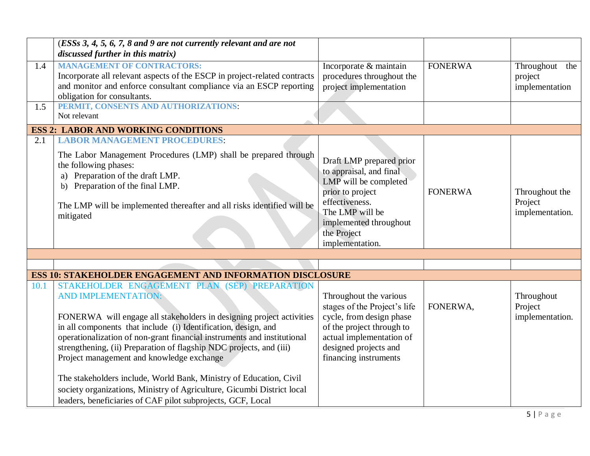|      | (ESSs 3, 4, 5, 6, 7, 8 and 9 are not currently relevant and are not<br>discussed further in this matrix)                                                                                                                                                                                                                                                     |                                                                                                                                                                                                   |                |                                              |
|------|--------------------------------------------------------------------------------------------------------------------------------------------------------------------------------------------------------------------------------------------------------------------------------------------------------------------------------------------------------------|---------------------------------------------------------------------------------------------------------------------------------------------------------------------------------------------------|----------------|----------------------------------------------|
| 1.4  | <b>MANAGEMENT OF CONTRACTORS:</b><br>Incorporate all relevant aspects of the ESCP in project-related contracts<br>and monitor and enforce consultant compliance via an ESCP reporting<br>obligation for consultants.                                                                                                                                         | Incorporate & maintain<br>procedures throughout the<br>project implementation                                                                                                                     | <b>FONERWA</b> | Throughout the<br>project<br>implementation  |
| 1.5  | PERMIT, CONSENTS AND AUTHORIZATIONS:<br>Not relevant                                                                                                                                                                                                                                                                                                         |                                                                                                                                                                                                   |                |                                              |
|      | <b>ESS 2: LABOR AND WORKING CONDITIONS</b>                                                                                                                                                                                                                                                                                                                   |                                                                                                                                                                                                   |                |                                              |
| 2.1  | <b>LABOR MANAGEMENT PROCEDURES:</b><br>The Labor Management Procedures (LMP) shall be prepared through<br>the following phases:<br>a) Preparation of the draft LMP.<br>b) Preparation of the final LMP.<br>The LMP will be implemented thereafter and all risks identified will be<br>mitigated                                                              | Draft LMP prepared prior<br>to appraisal, and final<br>LMP will be completed<br>prior to project<br>effectiveness.<br>The LMP will be<br>implemented throughout<br>the Project<br>implementation. | <b>FONERWA</b> | Throughout the<br>Project<br>implementation. |
|      |                                                                                                                                                                                                                                                                                                                                                              |                                                                                                                                                                                                   |                |                                              |
|      | <b>ESS 10: STAKEHOLDER ENGAGEMENT AND INFORMATION DISCLOSURE</b>                                                                                                                                                                                                                                                                                             |                                                                                                                                                                                                   |                |                                              |
| 10.1 | STAKEHOLDER ENGAGEMENT PLAN (SEP) PREPARATION                                                                                                                                                                                                                                                                                                                |                                                                                                                                                                                                   |                |                                              |
|      | AND IMPLEMENTATION:<br>FONERWA will engage all stakeholders in designing project activities<br>in all components that include (i) Identification, design, and<br>operationalization of non-grant financial instruments and institutional<br>strengthening, (ii) Preparation of flagship NDC projects, and (iii)<br>Project management and knowledge exchange | Throughout the various<br>stages of the Project's life<br>cycle, from design phase<br>of the project through to<br>actual implementation of<br>designed projects and<br>financing instruments     | FONERWA,       | Throughout<br>Project<br>implementation.     |
|      | The stakeholders include, World Bank, Ministry of Education, Civil<br>society organizations, Ministry of Agriculture, Gicumbi District local<br>leaders, beneficiaries of CAF pilot subprojects, GCF, Local                                                                                                                                                  |                                                                                                                                                                                                   |                |                                              |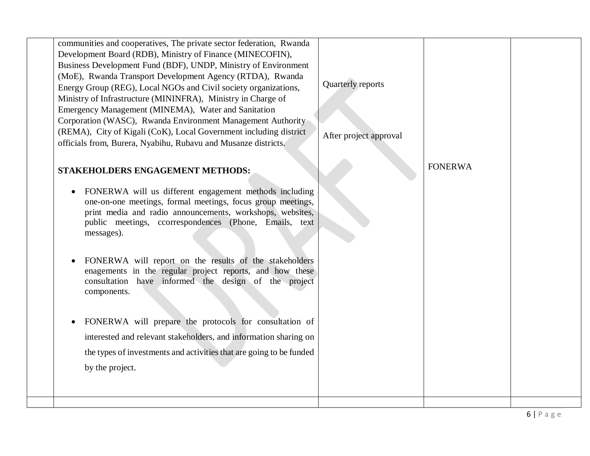| communities and cooperatives, The private sector federation, Rwanda<br>Development Board (RDB), Ministry of Finance (MINECOFIN),<br>Business Development Fund (BDF), UNDP, Ministry of Environment<br>(MoE), Rwanda Transport Development Agency (RTDA), Rwanda<br>Energy Group (REG), Local NGOs and Civil society organizations,<br>Ministry of Infrastructure (MININFRA), Ministry in Charge of<br>Emergency Management (MINEMA), Water and Sanitation<br>Corporation (WASC), Rwanda Environment Management Authority<br>(REMA), City of Kigali (CoK), Local Government including district<br>officials from, Burera, Nyabihu, Rubavu and Musanze districts.                                                                                      | Quarterly reports<br>After project approval |                |  |
|------------------------------------------------------------------------------------------------------------------------------------------------------------------------------------------------------------------------------------------------------------------------------------------------------------------------------------------------------------------------------------------------------------------------------------------------------------------------------------------------------------------------------------------------------------------------------------------------------------------------------------------------------------------------------------------------------------------------------------------------------|---------------------------------------------|----------------|--|
| <b>STAKEHOLDERS ENGAGEMENT METHODS:</b><br>FONERWA will us different engagement methods including<br>$\bullet$<br>one-on-one meetings, formal meetings, focus group meetings,<br>print media and radio announcements, workshops, websites,<br>public meetings, ccorrespondences (Phone, Emails, text<br>messages).<br>FONERWA will report on the results of the stakeholders<br>enagements in the regular project reports, and how these<br>consultation have informed the design of the project<br>components.<br>FONERWA will prepare the protocols for consultation of<br>$\bullet$<br>interested and relevant stakeholders, and information sharing on<br>the types of investments and activities that are going to be funded<br>by the project. |                                             | <b>FONERWA</b> |  |
|                                                                                                                                                                                                                                                                                                                                                                                                                                                                                                                                                                                                                                                                                                                                                      |                                             |                |  |